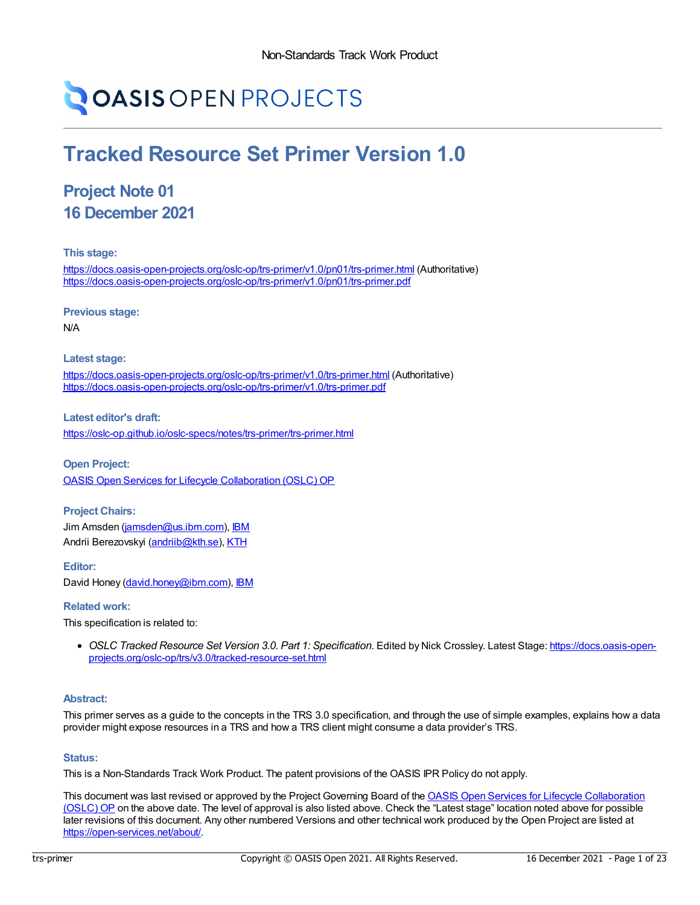# **OASIS OPEN PROJECTS**

## **Tracked Resource Set Primer Version 1.0**

### **Project Note 01 16 December 2021**

**This stage:**

<https://docs.oasis-open-projects.org/oslc-op/trs-primer/v1.0/pn01/trs-primer.html> (Authoritative) <https://docs.oasis-open-projects.org/oslc-op/trs-primer/v1.0/pn01/trs-primer.pdf>

**Previous stage:**

N/A

**Latest stage:**

<https://docs.oasis-open-projects.org/oslc-op/trs-primer/v1.0/trs-primer.html> (Authoritative) <https://docs.oasis-open-projects.org/oslc-op/trs-primer/v1.0/trs-primer.pdf>

**Latest editor's draft:** <https://oslc-op.github.io/oslc-specs/notes/trs-primer/trs-primer.html>

**Open Project:** OASIS Open Services for Lifecycle [Collaboration](https://open-services.net/about/) (OSLC) OP

**Project Chairs:** Jim Amsden [\(jamsden@us.ibm.com](mailto:jamsden@us.ibm.com)), [IBM](https://www.ibm.com/) Andrii Berezovskyi [\(andriib@kth.se](mailto:andriib@kth.se)), [KTH](https://www.kth.se/en)

**Editor:** David Honey [\(david.honey@ibm.com](mailto:david.honey@ibm.com)), [IBM](https://www.ibm.com/)

#### **Related work:**

This specification is related to:

*OSLC Tracked Resource Set Version 3.0. Part 1: Specification*. Edited by Nick Crossley. Latest Stage: https://docs.oasis-open[projects.org/oslc-op/trs/v3.0/tracked-resource-set.html](https://docs.oasis-open-projects.org/oslc-op/trs/v3.0/tracked-resource-set.html)

#### **Abstract:**

This primer serves as a guide to the concepts in the TRS 3.0 specification, and through the use of simple examples, explains how a data provider might expose resources in a TRS and how a TRS client might consume a data provider's TRS.

#### **Status:**

This is a Non-Standards Track Work Product. The patent provisions of the OASIS IPR Policy do not apply.

This document was last revised or approved by the Project Governing Board of the OASIS Open Services for Lifecycle [Collaboration](https://open-services.net/about/) (OSLC) OP on the above date. The level of approval is also listed above. Check the "Latest stage" location noted above for possible later revisions of this document. Any other numbered Versions and other technical work produced by the Open Project are listed at <https://open-services.net/about/>.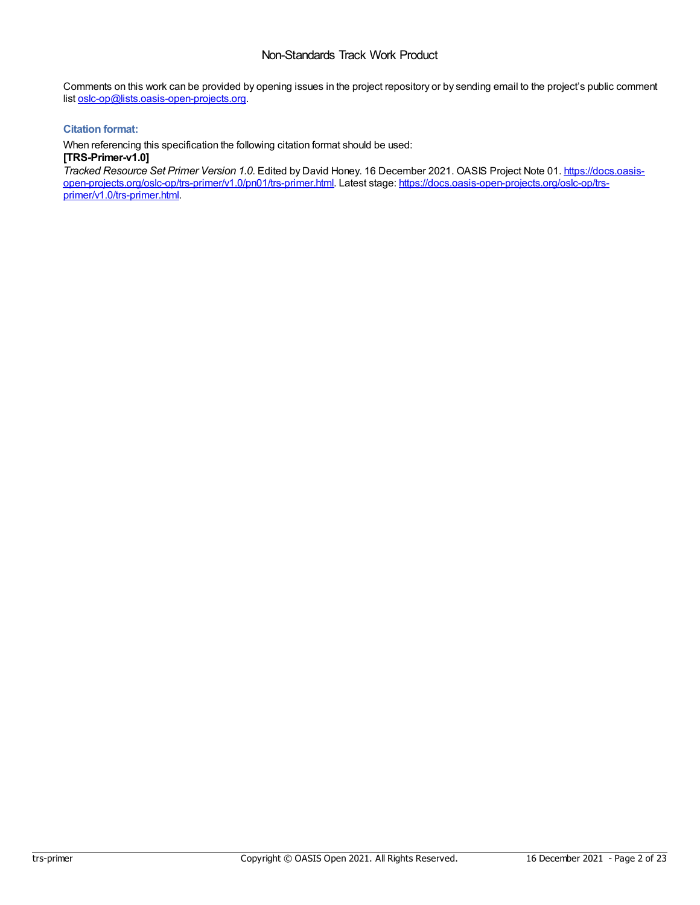Comments on this work can be provided by opening issues in the project repository or by sending email to the project's public comment list [oslc-op@lists.oasis-open-projects.org](mailto:oslc-op@lists.oasis-open-projects.org).

#### **Citation format:**

When referencing this specification the following citation format should be used:

**[TRS-Primer-v1.0]**

*Tracked Resource Set Primer Version 1.0*. Edited by David Honey. 16 December 2021. OASIS Project Note 01. https://docs.oasis[open-projects.org/oslc-op/trs-primer/v1.0/pn01/trs-primer.html.](https://docs.oasis-open-projects.org/oslc-op/trs-primer/v1.0/trs-primer.html) Latest stage: https://docs.oasis-open-projects.org/oslc-op/trsprimer/v1.0/trs-primer.html.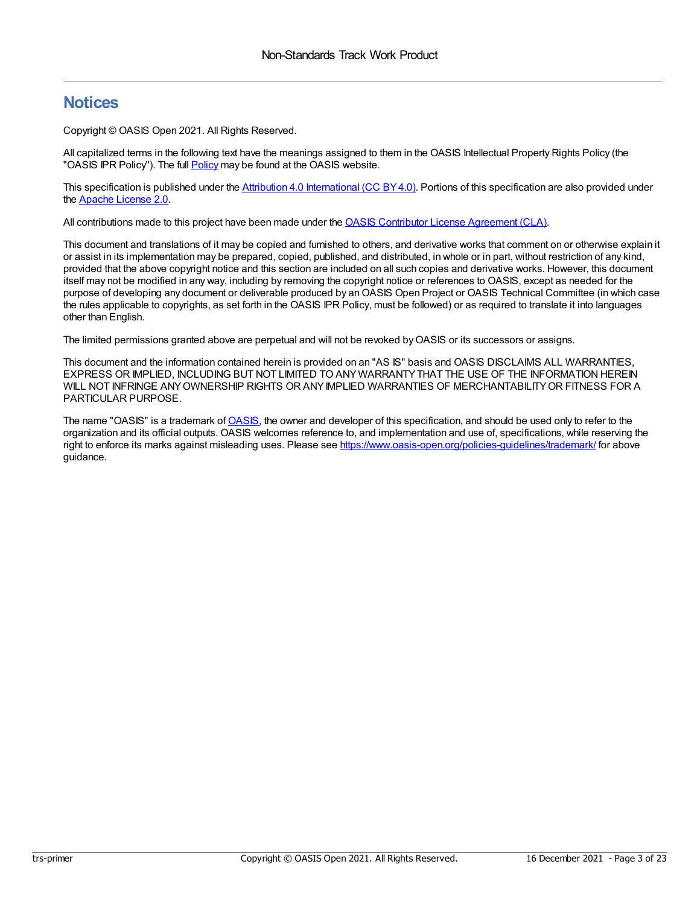### **Notices**

Copyright © OASIS Open 2021. All Rights Reserved.

All capitalized terms in the following text have the meanings assigned to them in the OASIS Intellectual Property Rights Policy (the "OASIS IPR [Policy](https://www.oasis-open.org/policies-guidelines/ipr/)"). The full **Policy** may be found at the OASIS website.

This specification is published under the Attribution 4.0 [International](https://creativecommons.org/licenses/by/4.0/legalcode) (CC BY 4.0). Portions of this specification are also provided under the Apache [License](https://www.apache.org/licenses/LICENSE-2.0) 2.0.

All contributions made to this project have been made under the OASIS Contributor License [Agreement](https://www.oasis-open.org/policies-guidelines/open-projects-process/#individual-cla-exhibit) (CLA).

This document and translations of it may be copied and furnished to others, and derivative works that comment on or otherwise explain it or assist in its implementation may be prepared, copied, published, and distributed, in whole or in part, without restriction of any kind, provided that the above copyright notice and this section are included on all such copies and derivative works. However, this document itself may not be modified in any way, including by removing the copyright notice or references to OASIS, except as needed for the purpose of developing any document or deliverable produced by an OASIS Open Project or OASIS Technical Committee (in which case the rules applicable to copyrights, as set forth in the OASIS IPR Policy, must be followed) or as required to translate it into languages other than English.

The limited permissions granted above are perpetual and will not be revoked byOASIS or its successors or assigns.

This document and the information contained herein is provided on an "AS IS" basis and OASIS DISCLAIMS ALL WARRANTIES, EXPRESS OR IMPLIED, INCLUDING BUT NOT LIMITED TO ANYWARRANTYTHAT THE USE OF THE INFORMATION HEREIN WILL NOT INFRINGE ANYOWNERSHIP RIGHTS OR ANYIMPLIED WARRANTIES OF MERCHANTABILITYOR FITNESS FOR A PARTICULAR PURPOSE.

The name "[OASIS](https://www.oasis-open.org/)" is a trademark of OASIS, the owner and developer of this specification, and should be used only to refer to the organization and its official outputs. OASIS welcomes reference to, and implementation and use of, specifications, while reserving the right to enforce its marks against misleading uses. Please see <https://www.oasis-open.org/policies-guidelines/trademark/> for above guidance.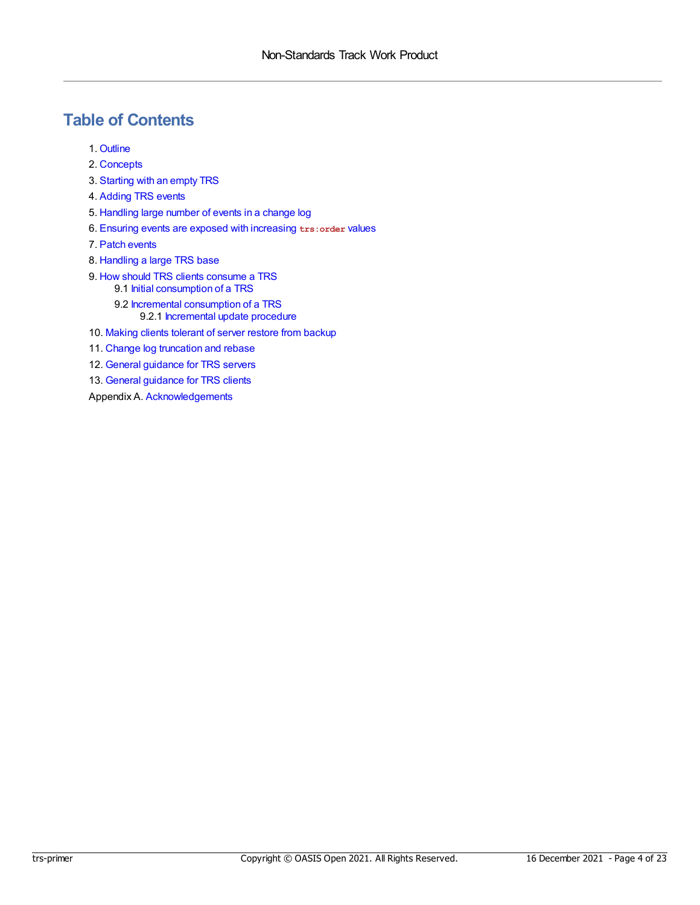### **Table of Contents**

- 1. [Outline](#page-4-0)
- 2. [Concepts](#page-5-0)
- 3. [Starting](#page-6-0) with an empty TRS
- 4. [Adding](#page-7-0) TRS events
- 5. [Handling](#page-9-0) large number of events in a change log
- 6. Ensuring events are exposed with [increasing](#page-11-0) **trs:order** values
- 7. Patch [events](#page-13-0)
- 8. [Handling](#page-15-0) a large TRS base
- 9. How should TRS clients [consume](#page-16-0) a TRS 9.1 Initial [consumption](#page-16-1) of a TRS
	- 9.2 Incremental [consumption](#page-16-2) of a TRS 9.2.1 [Incremental](#page-16-3) update procedure
- 10. Making clients [tolerant](#page-17-0) of server restore from backup
- 11. Change log [truncation](#page-18-0) and rebase
- 12. General [guidance](#page-20-0) for TRS servers
- 13. General [guidance](#page-21-0) for TRS clients

Appendix A. [Acknowledgements](#page-22-0)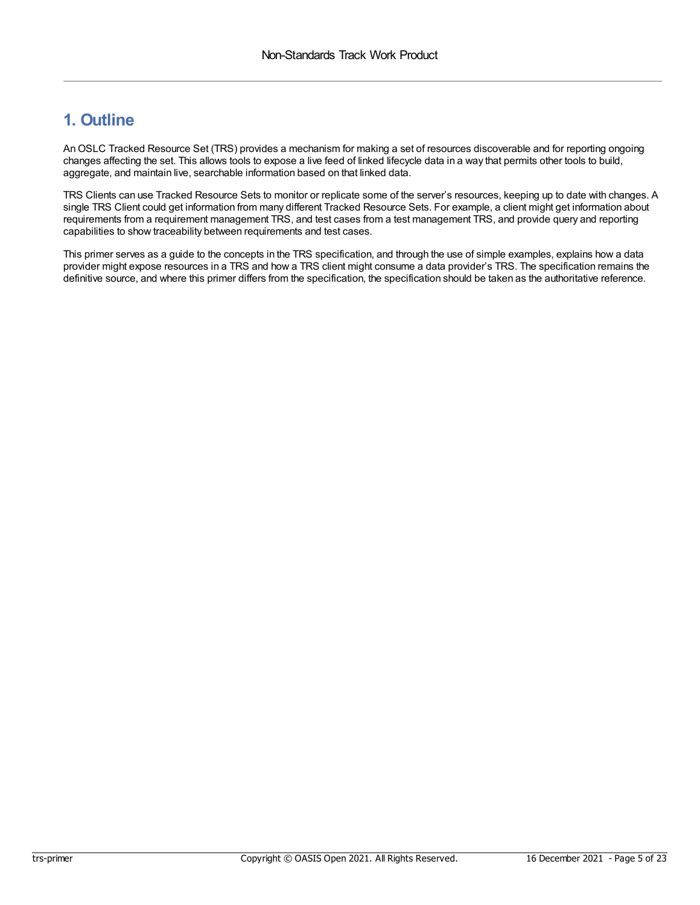### <span id="page-4-0"></span>**1. Outline**

AnOSLC Tracked Resource Set (TRS) provides a mechanism for making a set of resources discoverable and for reporting ongoing changes affecting the set. This allows tools to expose a live feed of linked lifecycle data in a way that permits other tools to build, aggregate, and maintain live, searchable information based on that linked data.

TRS Clients can use Tracked Resource Sets to monitor or replicate some of the server's resources, keeping up to date with changes. A single TRS Client could get information from many different Tracked Resource Sets. For example, a client might get information about requirements from a requirement management TRS, and test cases from a test management TRS, and provide query and reporting capabilities to show traceability between requirements and test cases.

This primer serves as a guide to the concepts in the TRS specification, and through the use of simple examples, explains how a data provider might expose resources in a TRS and how a TRS client might consume a data provider's TRS. The specification remains the definitive source, and where this primer differs from the specification, the specification should be taken as the authoritative reference.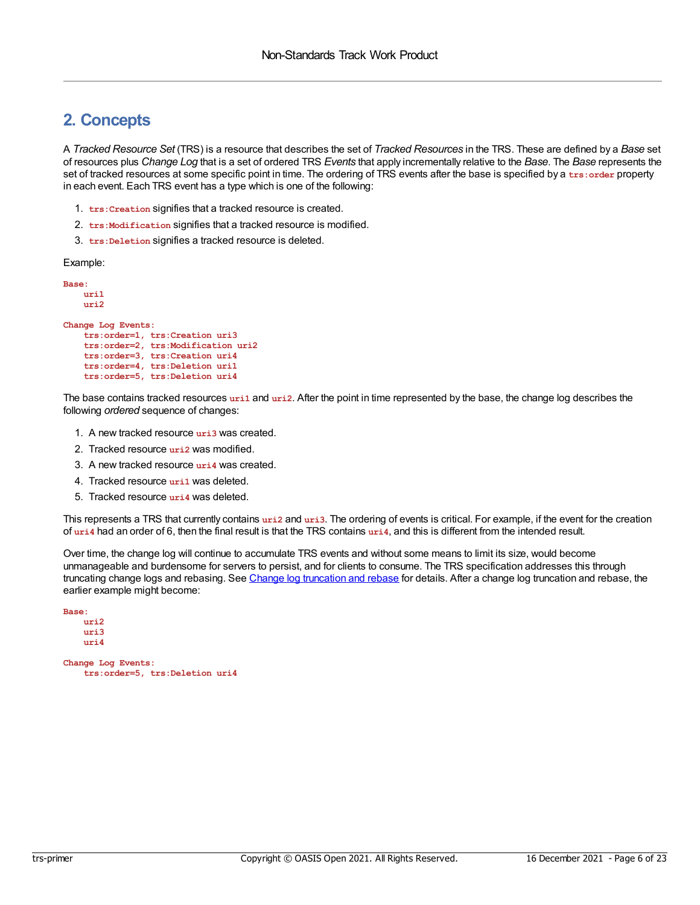### <span id="page-5-0"></span>**2. Concepts**

A *Tracked Resource Set* (TRS) is a resource that describes the set of *Tracked Resources* in the TRS. These are defined by a *Base* set of resources plus *Change Log* that is a set of ordered TRS *Events* that apply incrementally relative to the *Base*. The *Base* represents the set of tracked resources at some specific point in time. The ordering of TRS events after the base is specified by a **trs:order** property in each event. Each TRS event has a type which is one of the following:

- 1. **trs:Creation** signifies that a tracked resource is created.
- 2. **trs:Modification** signifies that a tracked resource is modified.
- 3. **trs:Deletion** signifies a tracked resource is deleted.

Example:

```
Base:
   uri1
   uri2
Change Log Events:
   trs:order=1, trs:Creation uri3
    trs:order=2, trs:Modification uri2
    trs:order=3, trs:Creation uri4
    trs:order=4, trs:Deletion uri1
    trs:order=5, trs:Deletion uri4
```
The base contains tracked resources **uri1** and **uri2**. After the point in time represented by the base, the change log describes the following *ordered* sequence of changes:

- 1. A new tracked resource **uri3** was created.
- 2. Tracked resource **uri2** was modified.
- 3. A new tracked resource **uri4** was created.
- 4. Tracked resource **uri1** was deleted.
- 5. Tracked resource **uri4** was deleted.

This represents a TRS that currently contains **uri2** and **uri3**. The ordering of events is critical. For example, if the event for the creation of **uri4** had an order of 6, then the final result is that the TRS contains **uri4**, and this is different from the intended result.

Over time, the change log will continue to accumulate TRS events and without some means to limit its size, would become unmanageable and burdensome for servers to persist, and for clients to consume. The TRS specification addresses this through truncating change logs and rebasing. See Change log [truncation](#page-18-0) and rebase for details. After a change log truncation and rebase, the earlier example might become:

```
Base:
    uri2
    uri3
    uri4
Change Log Events:
```
**trs:order=5, trs:Deletion uri4**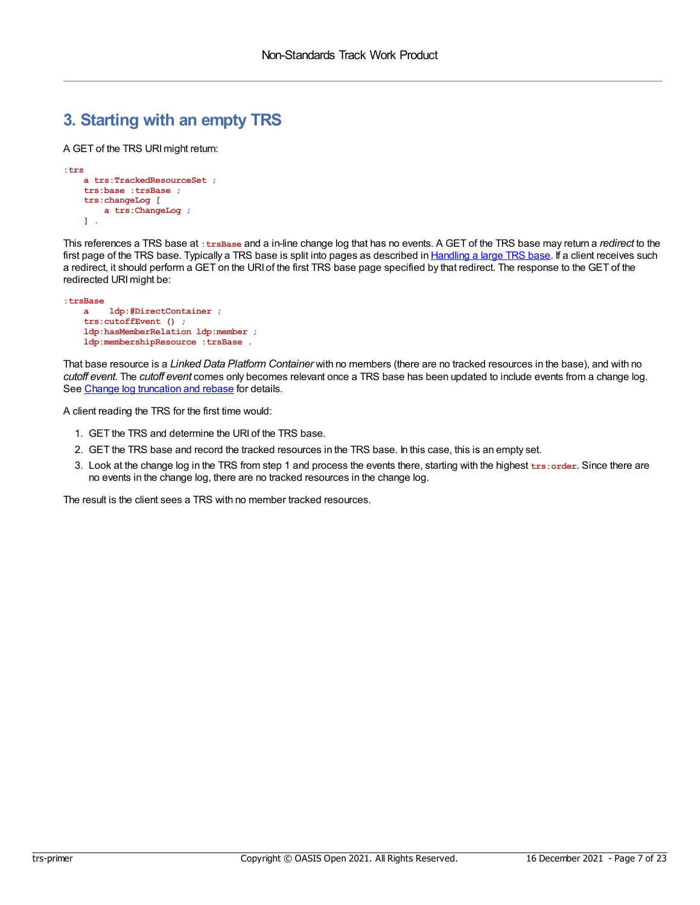### <span id="page-6-0"></span>**3. Starting with an empty TRS**

A GET of the TRS URImight return:

```
:trs
   a trs:TrackedResourceSet ;
   trs:base :trsBase ;
   trs:changeLog [
       a trs:ChangeLog ;
   ] .
```
This references a TRS base at **:trsBase** and a in-line change log that has no events. A GET of the TRS base may return a *redirect* to the first page of the TRS base. Typically a TRS base is split into pages as described in [Handling](#page-15-0) a large TRS base. If a client receives such a redirect, it should perform a GET on the URI of the first TRS base page specified by that redirect. The response to the GET of the redirected URI might be:

```
:trsBase
   a ldp:#DirectContainer ;
   trs:cutoffEvent () ;
   ldp:hasMemberRelation ldp:member ;
   ldp:membershipResource :trsBase .
```
That base resource is a *Linked Data Platform Container* with no members (there are no tracked resources in the base), and with no *cutoff event*. The *cutoff event* comes only becomes relevant once a TRS base has been updated to include events from a change log. See Change log [truncation](#page-18-0) and rebase for details.

A client reading the TRS for the first time would:

- 1. GET the TRS and determine the URI of the TRS base.
- 2. GET the TRS base and record the tracked resources in the TRS base. In this case, this is an empty set.
- 3. Look at the change log in the TRS from step 1 and process the events there, starting with the highest **trs:order**. Since there are no events in the change log, there are no tracked resources in the change log.

The result is the client sees a TRS with no member tracked resources.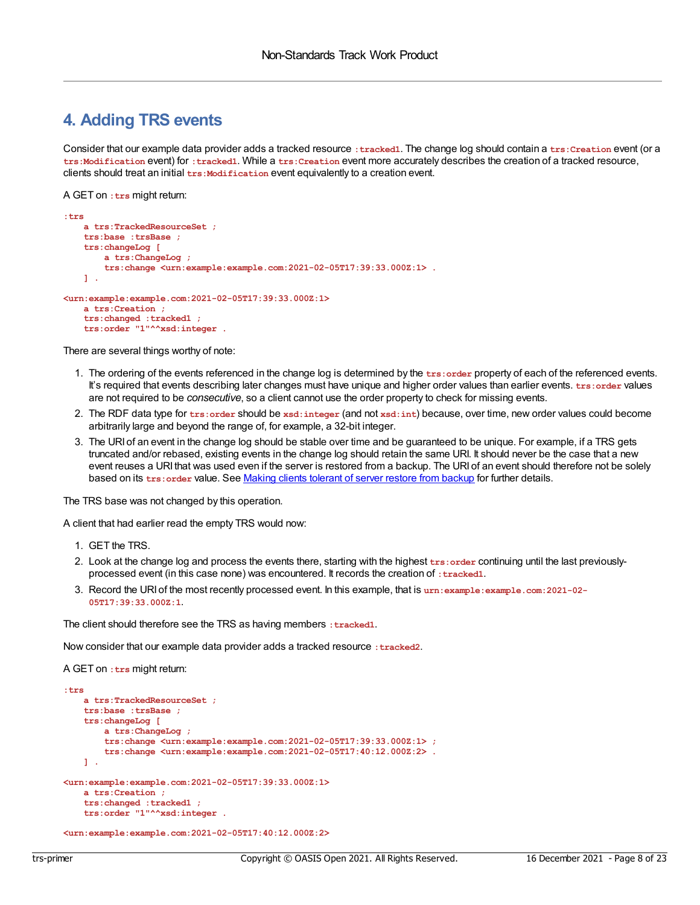#### <span id="page-7-0"></span>**4. Adding TRS events**

Consider that our example data provider adds a tracked resource **:tracked1**. The change log should contain a **trs:Creation** event (or a **trs:Modification** event) for **:tracked1**. While a **trs:Creation** event more accurately describes the creation of a tracked resource, clients should treat an initial **trs:Modification** event equivalently to a creation event.

A GET on **:trs** might return:

```
:trs
   a trs:TrackedResourceSet ;
   trs:base :trsBase ;
    trs:changeLog [
       a trs:ChangeLog ;
        trs:change <urn:example:example.com:2021-02-05T17:39:33.000Z:1> .
   ] .
<urn:example:example.com:2021-02-05T17:39:33.000Z:1>
   a trs:Creation ;
    trs:changed :tracked1 ;
   trs:order "1"^^xsd:integer .
```
There are several things worthy of note:

- 1. The ordering of the events referenced in the change log is determined by the **trs:order** property of each of the referenced events. It's required that events describing later changes must have unique and higher order values than earlier events. **trs:** order values are not required to be *consecutive*, so a client cannot use the order property to check for missing events.
- 2. The RDF data type for **trs:order** should be **xsd:integer** (and not **xsd:int**) because, over time, new order values could become arbitrarily large and beyond the range of, for example, a 32-bit integer.
- 3. The URI of an event in the change log should be stable over time and be guaranteed to be unique. For example, if a TRS gets truncated and/or rebased, existing events in the change log should retain the same URI. It should never be the case that a new event reuses a URI that was used even if the server is restored from a backup. The URI of an event should therefore not be solely based on its **trs:order** value. See Making clients [tolerant](#page-17-0) of server restore from backup for further details.

The TRS base was not changed by this operation.

A client that had earlier read the empty TRS would now:

- 1. GET the TRS.
- 2. Look at the change log and process the events there, starting with the highest **trs:order** continuing until the last previouslyprocessed event (in this case none) was encountered. It records the creation of **:tracked1**.
- 3. Record the URI of the most recently processed event. In this example, that is **urn:example:example.com:2021-02- 05T17:39:33.000Z:1**.

The client should therefore see the TRS as having members : tracked1.

Now consider that our example data provider adds a tracked resource : tracked2.

A GET on **:trs** might return:

```
:trs
    a trs:TrackedResourceSet ;
    trs:base :trsBase ;
    trs:changeLog [
       a trs:ChangeLog ;
        trs:change <urn:example:example.com:2021-02-05T17:39:33.000Z:1> ;
        trs:change <urn:example:example.com:2021-02-05T17:40:12.000Z:2> .
    ] .
<urn:example:example.com:2021-02-05T17:39:33.000Z:1>
    a trs:Creation ;
    trs:changed :tracked1 ;
    trs:order "1"^^xsd:integer .
```
**<urn:example:example.com:2021-02-05T17:40:12.000Z:2>**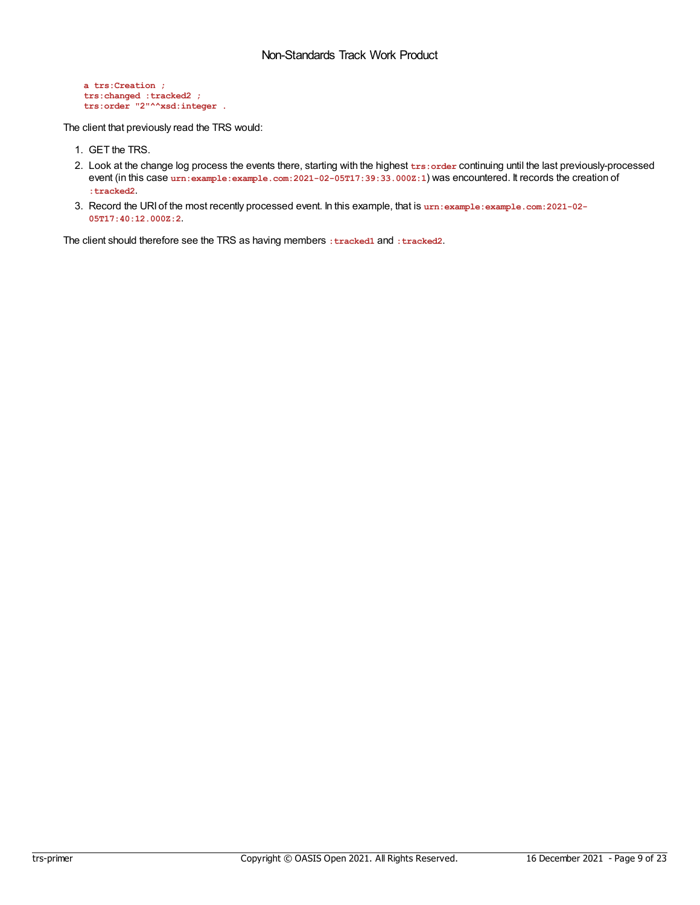```
a trs:Creation ;
trs:changed :tracked2 ;
trs:order "2"^^xsd:integer .
```
The client that previously read the TRS would:

- 1. GET the TRS.
- 2. Look at the change log process the events there, starting with the highest **trs:order** continuing until the last previously-processed event (in this case urn:example:example.com:2021-02-05T17:39:33.000Z:1) was encountered. It records the creation of **:tracked2**.
- 3. Record the URI of the most recently processed event. In this example, that is **urn:example:example.com:2021-02- 05T17:40:12.000Z:2**.

The client should therefore see the TRS as having members **:tracked1** and **:tracked2**.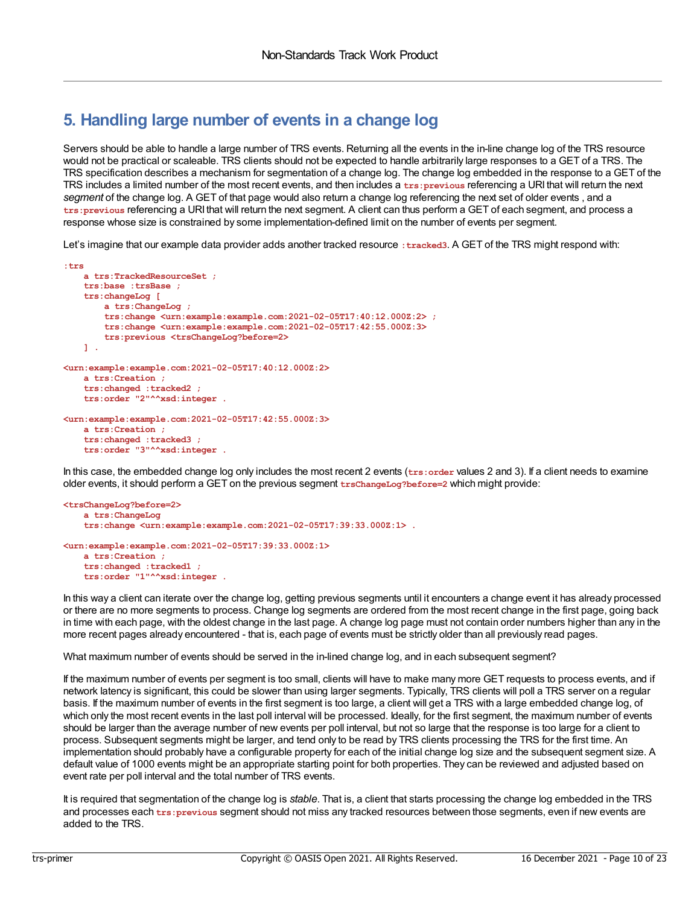### <span id="page-9-0"></span>**5. Handling large number of events in a change log**

Servers should be able to handle a large number of TRS events. Returning all the events in the in-line change log of the TRS resource would not be practical or scaleable. TRS clients should not be expected to handle arbitrarily large responses to a GET of a TRS. The TRS specification describes a mechanism for segmentation of a change log. The change log embedded in the response to a GET of the TRS includes a limited number of the most recent events, and then includes a **trs:previous** referencing a URI that will return the next *segment* of the change log. A GET of that page would also return a change log referencing the next set of older events , and a **trs:previous** referencing a URI that will return the next segment. A client can thus perform a GET of each segment, and process a response whose size is constrained by some implementation-defined limit on the number of events per segment.

Let's imagine that our example data provider adds another tracked resource **:tracked3**. A GET of the TRS might respond with:

```
:trs
   a trs:TrackedResourceSet ;
   trs:base :trsBase ;
   trs:changeLog [
       a trs:ChangeLog ;
       trs:change <urn:example:example.com:2021-02-05T17:40:12.000Z:2> ;
       trs:change <urn:example:example.com:2021-02-05T17:42:55.000Z:3>
       trs:previous <trsChangeLog?before=2>
   ] .
<urn:example:example.com:2021-02-05T17:40:12.000Z:2>
    a trs:Creation ;
    trs:changed :tracked2 ;
    trs:order "2"^^xsd:integer .
<urn:example:example.com:2021-02-05T17:42:55.000Z:3>
   a trs:Creation ;
    trs:changed :tracked3 ;
   trs:order "3"^^xsd:integer .
```
In this case, the embedded change log only includes the most recent 2 events (**trs:order** values 2 and 3). If a client needs to examine older events, it should perform a GET on the previous segment **trsChangeLog?before=2** which might provide:

```
<trsChangeLog?before=2>
    a trs:ChangeLog
    trs:change <urn:example:example.com:2021-02-05T17:39:33.000Z:1> .
<urn:example:example.com:2021-02-05T17:39:33.000Z:1>
```

```
a trs:Creation ;
trs:changed :tracked1 ;
trs:order "1"^^xsd:integer .
```
In this way a client can iterate over the change log, getting previous segments until it encounters a change event it has already processed or there are no more segments to process. Change log segments are ordered from the most recent change in the first page, going back in time with each page, with the oldest change in the last page. A change log page must not contain order numbers higher than any in the more recent pages already encountered - that is, each page of events must be strictly older than all previously read pages.

What maximum number of events should be served in the in-lined change log, and in each subsequent segment?

If the maximum number of events per segment is too small, clients will have to make many more GET requests to process events, and if network latency is significant, this could be slower than using larger segments. Typically, TRS clients will poll a TRS server on a regular basis. If the maximum number of events in the first segment is too large, a client will get a TRS with a large embedded change log, of which only the most recent events in the last poll interval will be processed. Ideally, for the first segment, the maximum number of events should be larger than the average number of new events per poll interval, but not so large that the response is too large for a client to process. Subsequent segments might be larger, and tend only to be read by TRS clients processing the TRS for the first time. An implementation should probably have a configurable property for each of the initial change log size and the subsequent segment size. A default value of 1000 events might be an appropriate starting point for both properties. They can be reviewed and adjusted based on event rate per poll interval and the total number of TRS events.

It is required that segmentation of the change log is *stable*. That is, a client that starts processing the change log embedded in the TRS and processes each **trs:previous** segment should not miss any tracked resources between those segments, even if new events are added to the TRS.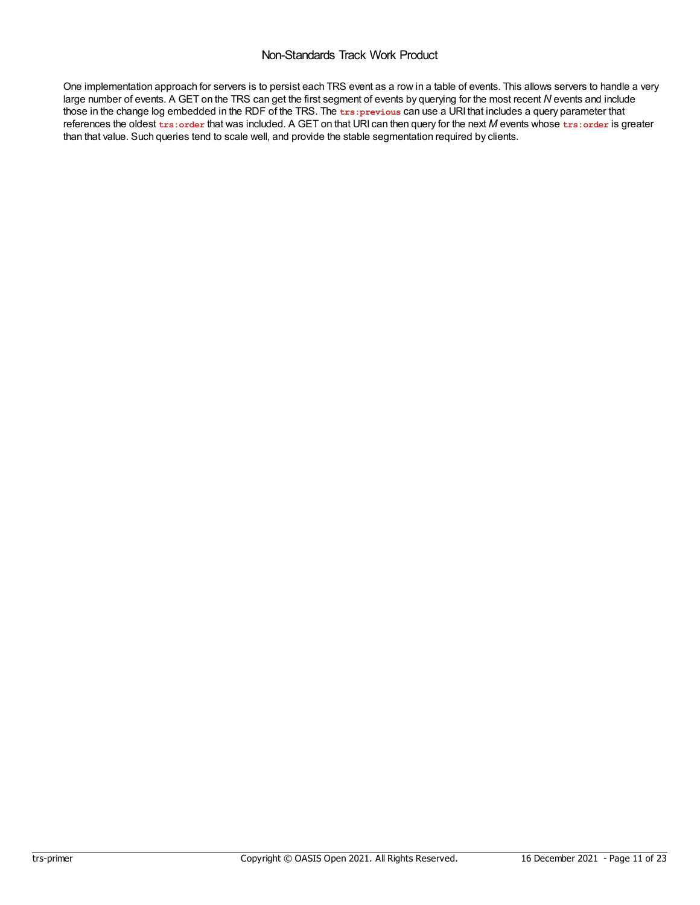One implementation approach for servers is to persist each TRS event as a row in a table of events. This allows servers to handle a very large number of events. A GET on the TRS can get the first segment of events by querying for the most recent *N* events and include those in the change log embedded in the RDF of the TRS. The **trs:previous** can use a URI that includes a query parameter that references the oldest **trs:order** that was included. A GET on that URI can then query for the next *M* events whose **trs:order** is greater than that value. Such queries tend to scale well, and provide the stable segmentation required by clients.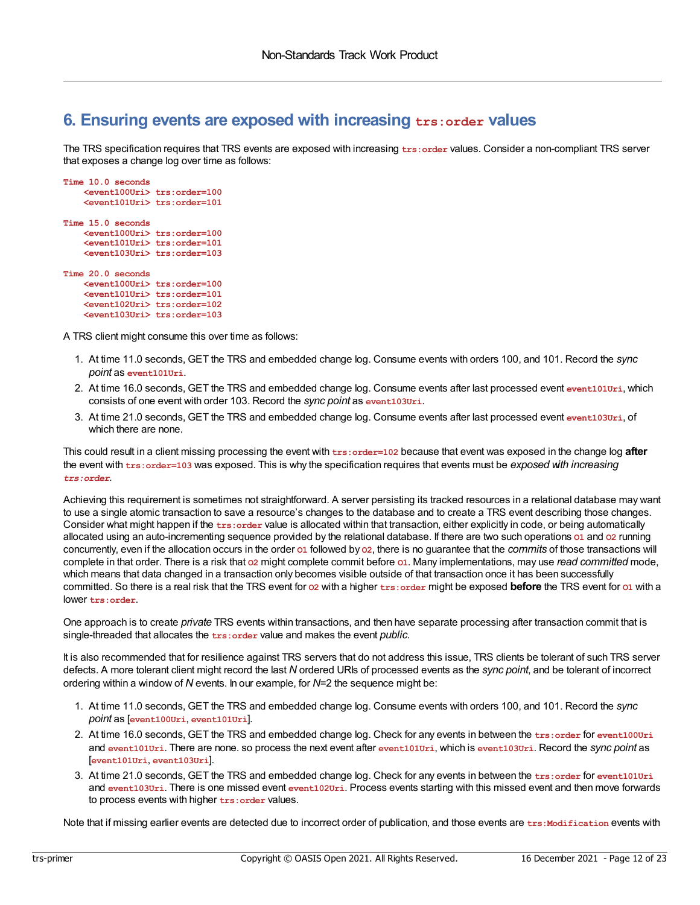### <span id="page-11-0"></span>**6. Ensuring events are exposed with increasing trs:order values**

The TRS specification requires that TRS events are exposed with increasing **trs:order** values. Consider a non-compliant TRS server that exposes a change log over time as follows:

```
Time 10.0 seconds
    <event100Uri> trs:order=100
    <event101Uri> trs:order=101
Time 15.0 seconds
    <event100Uri> trs:order=100
    <event101Uri> trs:order=101
    <event103Uri> trs:order=103
Time 20.0 seconds
    <event100Uri> trs:order=100
    <event101Uri> trs:order=101
    <event102Uri> trs:order=102
    <event103Uri> trs:order=103
```
A TRS client might consume this over time as follows:

- 1. At time 11.0 seconds, GET the TRS and embedded change log. Consume events with orders 100, and 101. Record the *sync point* as **event101Uri**.
- 2. At time 16.0 seconds, GET the TRS and embedded change log. Consume events after last processed event **event101Uri**, which consists of one event with order 103. Record the *sync point* as **event103Uri**.
- 3. At time 21.0 seconds, GET the TRS and embedded change log. Consume events after last processed event **event103Uri**, of which there are none.

This could result in a client missing processing the event with **trs:order=102** because that event was exposed in the change log **after** the event with **trs:order=103** was exposed. This is why the specification requires that events must be *exposed with increasing trs:order*.

Achieving this requirement is sometimes not straightforward. A server persisting its tracked resources in a relational database may want to use a single atomic transaction to save a resource's changes to the database and to create a TRS event describing those changes. Consider what might happen if the **trs:order** value is allocated within that transaction, either explicitly in code, or being automatically allocated using an auto-incrementing sequence provided by the relational database. If there are two such operations **O1** and **O2** running concurrently, even if the allocation occurs in the order **O1** followed by **O2**, there is no guarantee that the *commits* of those transactions will complete in that order. There is a risk that **O2** might complete commit before **O1**. Many implementations, may use *read committed* mode, which means that data changed in a transaction only becomes visible outside of that transaction once it has been successfully committed. So there is a real risk that the TRS event for **O2** with a higher **trs:order** might be exposed **before** the TRS event for **O1** with a lower **trs:order**.

One approach is to create *private* TRS events within transactions, and then have separate processing after transaction commit that is single-threaded that allocates the **trs:order** value and makes the event *public*.

It is also recommended that for resilience against TRS servers that do not address this issue, TRS clients be tolerant of such TRS server defects. A more tolerant client might record the last *N* ordered URIs of processed events as the *sync point*, and be tolerant of incorrect ordering within a window of *N* events. In our example, for *N*=2 the sequence might be:

- 1. At time 11.0 seconds, GET the TRS and embedded change log. Consume events with orders 100, and 101. Record the *sync point* as [**event100Uri**, **event101Uri**].
- 2. At time 16.0 seconds, GET the TRS and embedded change log. Check for any events in between the **trs:order** for **event100Uri** and **event101Uri**. There are none. so process the next event after **event101Uri**, which is **event103Uri**. Record the *sync point* as [**event101Uri**, **event103Uri**].
- 3. At time 21.0 seconds, GET the TRS and embedded change log. Check for any events in between the **trs:order** for **event101Uri** and **event103Uri**. There is one missed event **event102Uri**. Process events starting with this missed event and then move forwards to process events with higher **trs:order** values.

Note that if missing earlier events are detected due to incorrect order of publication, and those events are trs:Modification events with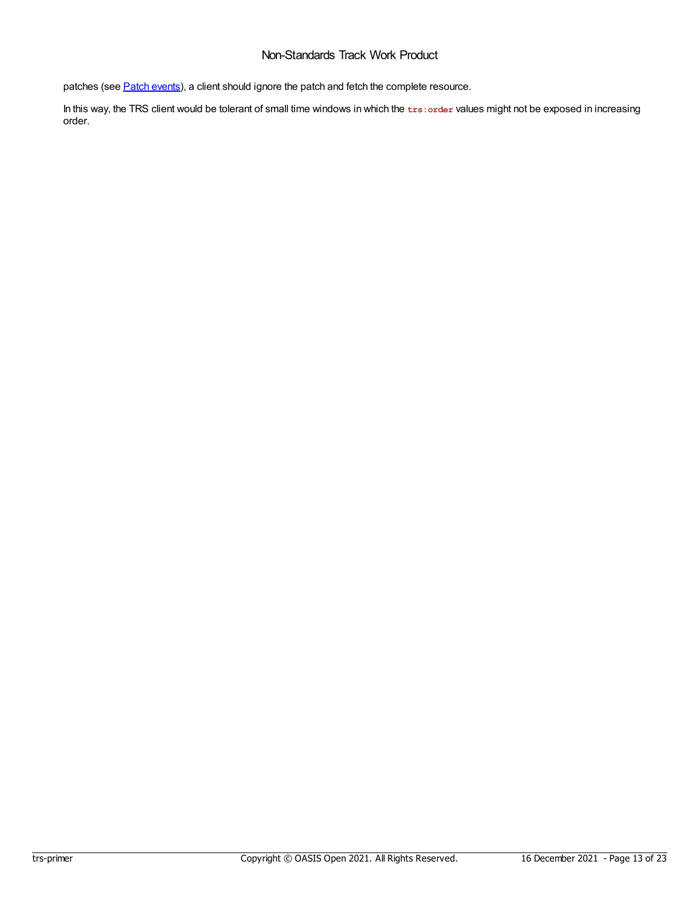patches (see **Patch [events](#page-13-0)**), a client should ignore the patch and fetch the complete resource.

In this way, the TRS client would be tolerant of small time windows in which the **trs:order** values might not be exposed in increasing order.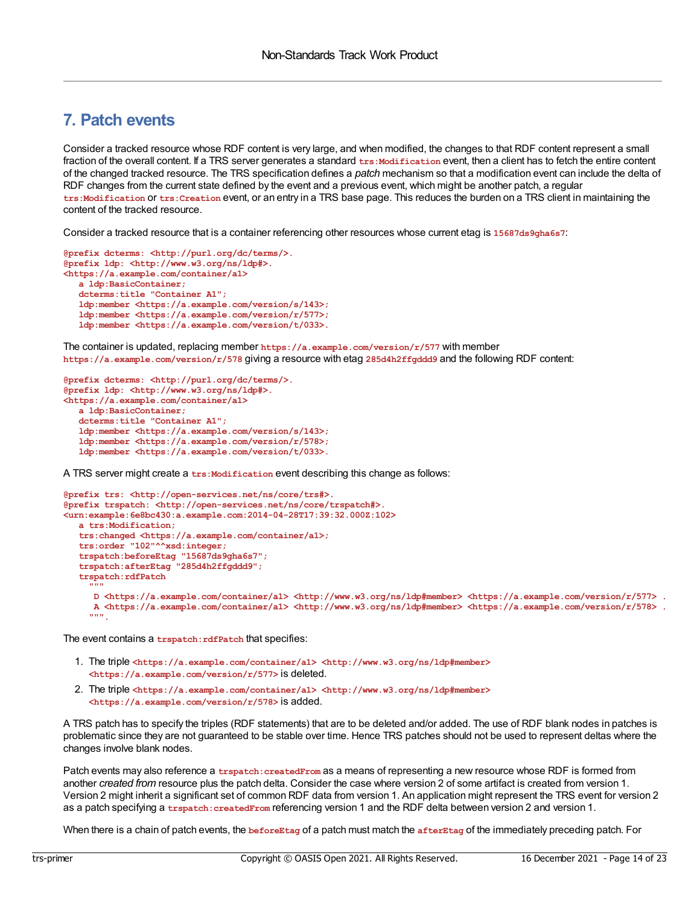### <span id="page-13-0"></span>**7. Patch events**

Consider a tracked resource whose RDF content is very large, and when modified, the changes to that RDF content represent a small fraction of the overall content. If a TRS server generates a standard trs:Modification event, then a client has to fetch the entire content of the changed tracked resource. The TRS specification defines a *patch* mechanism so that a modification event can include the delta of RDF changes from the current state defined by the event and a previous event, which might be another patch, a regular **trs:Modification** or **trs:Creation** event, or an entry in a TRS base page. This reduces the burden on a TRS client in maintaining the content of the tracked resource.

Consider a tracked resource that is a container referencing other resources whose current etag is **15687ds9gha6s7**:

```
@prefix dcterms: <http://purl.org/dc/terms/>.
@prefix ldp: <http://www.w3.org/ns/ldp#>.
<https://a.example.com/container/a1>
  a ldp:BasicContainer;
  dcterms:title "Container A1";
  ldp:member <https://a.example.com/version/s/143>;
   ldp:member <https://a.example.com/version/r/577>;
   ldp:member <https://a.example.com/version/t/033>.
```
The container is updated, replacing member **https://a.example.com/version/r/577** with member **https://a.example.com/version/r/578** giving a resource with etag **285d4h2ffgddd9** and the following RDF content:

```
@prefix dcterms: <http://purl.org/dc/terms/>.
@prefix ldp: <http://www.w3.org/ns/ldp#>.
<https://a.example.com/container/a1>
  a ldp:BasicContainer;
  dcterms:title "Container A1";
  ldp:member <https://a.example.com/version/s/143>;
   ldp:member <https://a.example.com/version/r/578>;
   ldp:member <https://a.example.com/version/t/033>.
```
A TRS server might create a trs: Modification event describing this change as follows:

```
@prefix trs: <http://open-services.net/ns/core/trs#>.
@prefix trspatch: <http://open-services.net/ns/core/trspatch#>.
<urn:example:6e8bc430:a.example.com:2014-04-28T17:39:32.000Z:102>
   a trs:Modification;
   trs:changed <https://a.example.com/container/a1>;
   trs:order "102"^^xsd:integer;
   trspatch:beforeEtag "15687ds9gha6s7";
   trspatch:afterEtag "285d4h2ffgddd9";
   trspatch:rdfPatch
     """
     D <https://a.example.com/container/a1> <http://www.w3.org/ns/ldp#member> <https://a.example.com/version/r/577> .
     A <https://a.example.com/container/a1> <http://www.w3.org/ns/ldp#member> <https://a.example.com/version/r/578> .
     """.
```
The event contains a **trspatch:rdfPatch** that specifies:

- 1. The triple **<https://a.example.com/container/a1> <http://www.w3.org/ns/ldp#member> <https://a.example.com/version/r/577>** is deleted.
- 2. The triple **<https://a.example.com/container/a1> <http://www.w3.org/ns/ldp#member> <https://a.example.com/version/r/578>** is added.

A TRS patch has to specify the triples (RDF statements) that are to be deleted and/or added. The use of RDF blank nodes in patches is problematic since they are not guaranteed to be stable over time. Hence TRS patches should not be used to represent deltas where the changes involve blank nodes.

Patch events may also reference a *trspatch: createdFrom* as a means of representing a new resource whose RDF is formed from another *created from* resource plus the patch delta. Consider the case where version 2 of some artifact is created from version 1. Version 2 might inherit a significant set of common RDF data from version 1. An application might represent the TRS event for version 2 as a patch specifying a **trspatch:createdFrom** referencing version 1 and the RDF delta between version 2 and version 1.

When there is a chain of patch events, the **beforeEtag** of a patch must match the **afterEtag** of the immediately preceding patch. For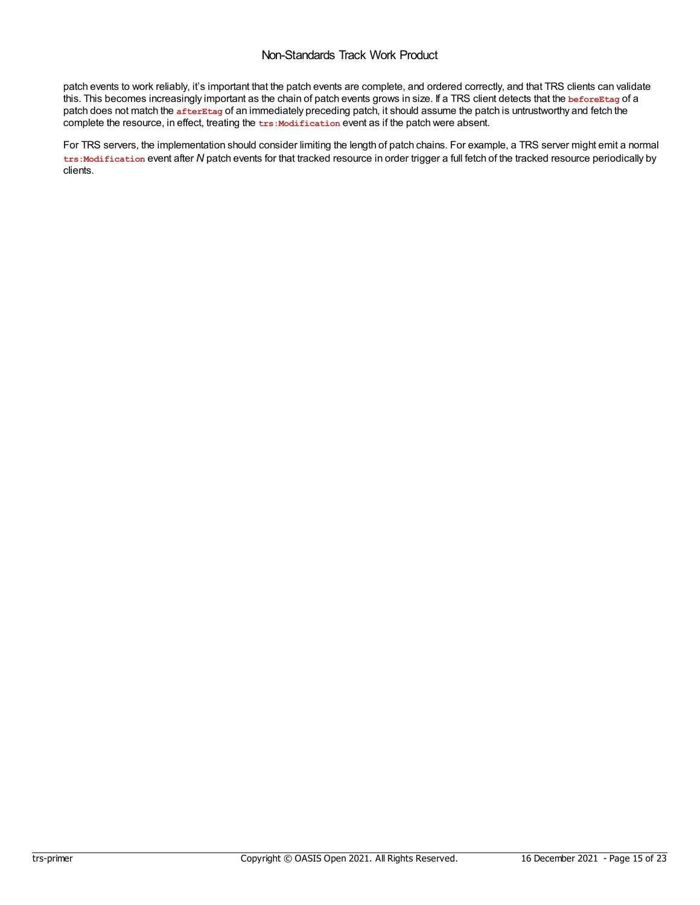patch events to work reliably, it's important that the patch events are complete, and ordered correctly, and that TRS clients can validate this. This becomes increasingly important as the chain of patch events grows in size. If a TRS client detects that the **beforeEtag** of a patch does not match the **afterEtag** of an immediately preceding patch, it should assume the patch is untrustworthy and fetch the complete the resource, in effect, treating the  $txs$ : Modification event as if the patch were absent.

For TRS servers, the implementation should consider limiting the length of patch chains. For example, a TRS server might emit a normal **trs:Modification** event after *N* patch events for that tracked resource in order trigger a full fetch of the tracked resource periodically by clients.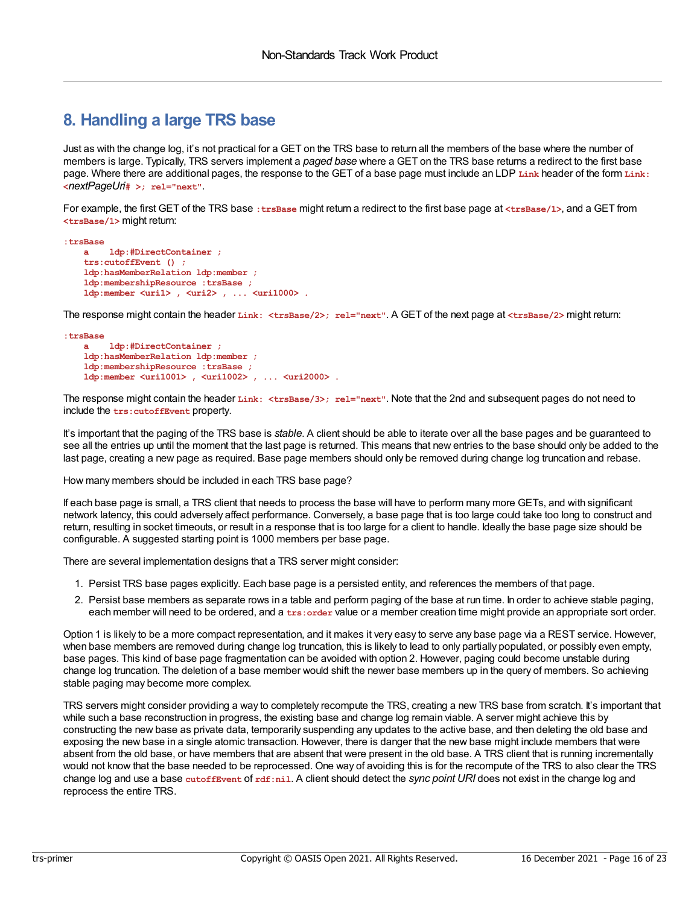### <span id="page-15-0"></span>**8. Handling a large TRS base**

Just as with the change log, it's not practical for a GET on the TRS base to return all the members of the base where the number of members is large. Typically, TRS servers implement a *paged base* where a GET on the TRS base returns a redirect to the first base page. Where there are additional pages, the response to the GET of a base page must include an LDP **Link** header of the form **Link: <***nextPageUri***# >; rel="next"**.

For example, the first GET of the TRS base **:trsBase** might return a redirect to the first base page at **<trsBase/1>**, and a GET from **<trsBase/1>** might return:

```
:trsBase
   a ldp:#DirectContainer ;
   trs:cutoffEvent () ;
   ldp:hasMemberRelation ldp:member ;
   ldp:membershipResource :trsBase ;
   ldp:member <uri1> , <uri2> , ... <uri1000> .
```
The response might contain the header **Link: <trsBase/2>; rel="next"**. A GET of the next page at **<trsBase/2>** might return:

```
:trsBase
   a ldp:#DirectContainer ;
    ldp:hasMemberRelation ldp:member ;
   ldp:membershipResource :trsBase ;
    ldp:member <uri1001> , <uri1002> , ... <uri2000> .
```
The response might contain the header **Link: <trsBase/3>; rel="next"**. Note that the 2nd and subsequent pages do not need to include the **trs:cutoffEvent** property.

It's important that the paging of the TRS base is *stable*. A client should be able to iterate over all the base pages and be guaranteed to see all the entries up until the moment that the last page is returned. This means that new entries to the base should only be added to the last page, creating a new page as required. Base page members should only be removed during change log truncation and rebase.

How many members should be included in each TRS base page?

If each base page is small, a TRS client that needs to process the base will have to perform many more GETs, and with significant network latency, this could adversely affect performance. Conversely, a base page that is too large could take too long to construct and return, resulting in socket timeouts, or result in a response that is too large for a client to handle. Ideally the base page size should be configurable. A suggested starting point is 1000 members per base page.

There are several implementation designs that a TRS server might consider:

- 1. Persist TRS base pages explicitly. Each base page is a persisted entity, and references the members of that page.
- 2. Persist base members as separate rows in a table and perform paging of the base at run time. In order to achieve stable paging, each member will need to be ordered, and a **trs:order** value or a member creation time might provide an appropriate sort order.

Option 1 is likely to be a more compact representation, and it makes it very easy to serve any base page via a REST service. However, when base members are removed during change log truncation, this is likely to lead to only partially populated, or possibly even empty, base pages. This kind of base page fragmentation can be avoided with option 2. However, paging could become unstable during change log truncation. The deletion of a base member would shift the newer base members up in the query of members. So achieving stable paging may become more complex.

TRS servers might consider providing a way to completely recompute the TRS, creating a new TRS base from scratch. It's important that while such a base reconstruction in progress, the existing base and change log remain viable. A server might achieve this by constructing the new base as private data, temporarily suspending any updates to the active base, and then deleting the old base and exposing the new base in a single atomic transaction. However, there is danger that the new base might include members that were absent from the old base, or have members that are absent that were present in the old base. A TRS client that is running incrementally would not know that the base needed to be reprocessed. One way of avoiding this is for the recompute of the TRS to also clear the TRS change log and use a base **cutoffEvent** of **rdf:nil**. A client should detect the *sync point URI* does not exist in the change log and reprocess the entire TRS.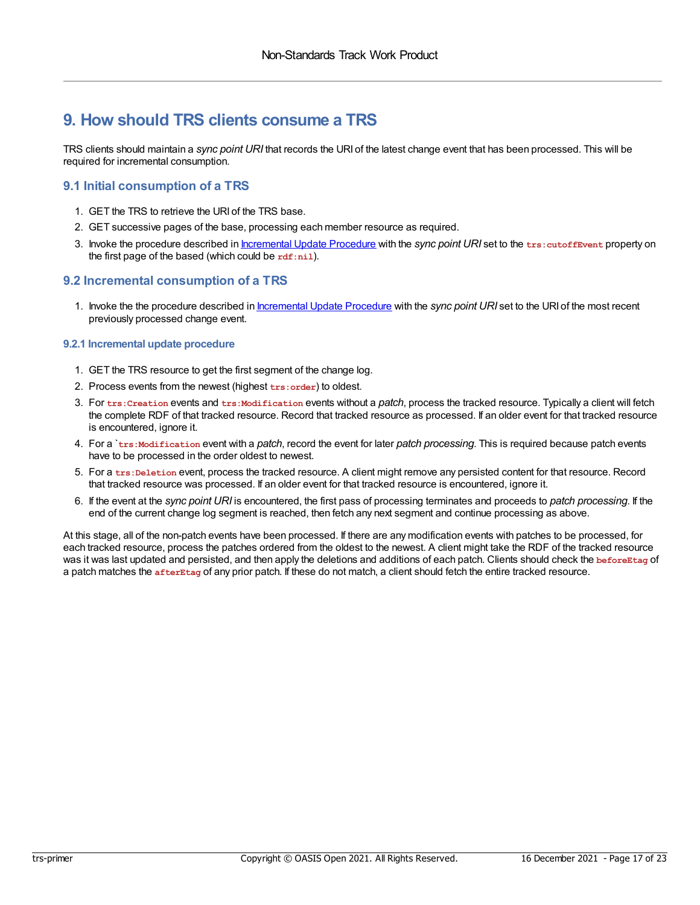### <span id="page-16-0"></span>**9. How should TRS clients consume a TRS**

TRS clients should maintain a *sync point URI* that records the URI of the latest change event that has been processed. This will be required for incremental consumption.

#### <span id="page-16-1"></span>**9.1 Initial consumption of a TRS**

- 1. GET the TRS to retrieve the URI of the TRS base.
- 2. GET successive pages of the base, processing each member resource as required.
- 3. Invoke the procedure described in [Incremental](#page-16-3) Update Procedure with the *sync point URI* set to the **trs:cutoffEvent** property on the first page of the based (which could be **rdf:nil**).

#### <span id="page-16-2"></span>**9.2 Incremental consumption of a TRS**

1. Invoke the the procedure described in [Incremental](#page-16-3) Update Procedure with the *sync point URI* set to the URI of the most recent previously processed change event.

#### <span id="page-16-3"></span>**9.2.1 Incremental update procedure**

- 1. GET the TRS resource to get the first segment of the change log.
- 2. Process events from the newest (highest **trs:order**) to oldest.
- 3. For **trs:Creation** events and **trs:Modification** events without a *patch*, process the tracked resource. Typically a client will fetch the complete RDF of that tracked resource. Record that tracked resource as processed. If an older event for that tracked resource is encountered, ignore it.
- 4. For a `**trs:Modification** event with a *patch*, record the event for later *patch processing*. This is required because patch events have to be processed in the order oldest to newest.
- 5. For a **trs:Deletion** event, process the tracked resource. A client might remove any persisted content for that resource. Record that tracked resource was processed. If an older event for that tracked resource is encountered, ignore it.
- 6. If the event at the *sync point URI* is encountered, the first pass of processing terminates and proceeds to *patch processing*. If the end of the current change log segment is reached, then fetch any next segment and continue processing as above.

At this stage, all of the non-patch events have been processed. If there are any modification events with patches to be processed, for each tracked resource, process the patches ordered from the oldest to the newest. A client might take the RDF of the tracked resource was it was last updated and persisted, and then apply the deletions and additions of each patch. Clients should check the **beforeEtag** of a patch matches the **afterEtag** of any prior patch. If these do not match, a client should fetch the entire tracked resource.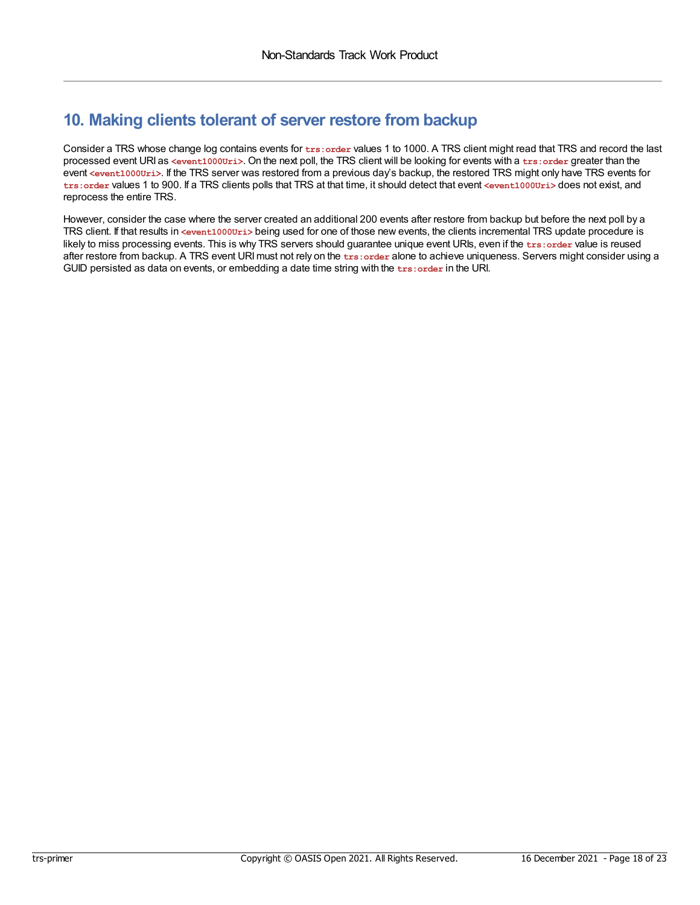### <span id="page-17-0"></span>**10. Making clients tolerant of server restore from backup**

Consider a TRS whose change log contains events for **trs:order** values 1 to 1000. A TRS client might read that TRS and record the last processed event URI as **<event1000Uri>**. On the next poll, the TRS client will be looking for events with a **trs:order** greater than the event <event1000Uri>. If the TRS server was restored from a previous day's backup, the restored TRS might only have TRS events for **trs:order** values 1 to 900. If a TRS clients polls that TRS at that time, it should detect that event **<event1000Uri>** does not exist, and reprocess the entire TRS.

However, consider the case where the server created an additional 200 events after restore from backup but before the next poll by a TRS client. If that results in **<event1000Uri>** being used for one of those new events, the clients incremental TRS update procedure is likely to miss processing events. This is why TRS servers should guarantee unique event URIs, even if the **trs:order** value is reused after restore from backup. A TRS event URImust not rely on the **trs:order** alone to achieve uniqueness. Servers might consider using a GUID persisted as data on events, or embedding a date time string with the **trs:order** in the URI.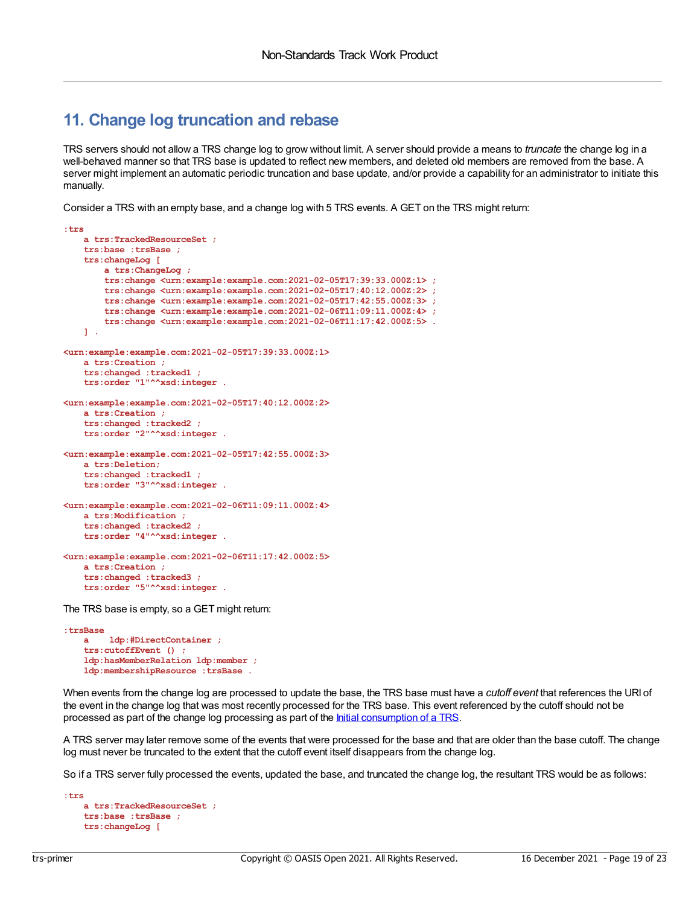### <span id="page-18-0"></span>**11. Change log truncation and rebase**

TRS servers should not allow a TRS change log to grow without limit. A server should provide a means to *truncate* the change log in a well-behaved manner so that TRS base is updated to reflect new members, and deleted old members are removed from the base. A server might implement an automatic periodic truncation and base update, and/or provide a capability for an administrator to initiate this manually.

Consider a TRS with an empty base, and a change log with 5 TRS events. A GET on the TRS might return:

```
:trs
   a trs:TrackedResourceSet ;
   trs:base :trsBase ;
    trs:changeLog [
        a trs:ChangeLog ;
        trs:change <urn:example:example.com:2021-02-05T17:39:33.000Z:1> ;
        trs:change <urn:example:example.com:2021-02-05T17:40:12.000Z:2> ;
        trs:change <urn:example:example.com:2021-02-05T17:42:55.000Z:3> ;
        trs:change <urn:example:example.com:2021-02-06T11:09:11.000Z:4> ;
        trs:change <urn:example:example.com:2021-02-06T11:17:42.000Z:5> .
    ] .
<urn:example:example.com:2021-02-05T17:39:33.000Z:1>
   a trs:Creation ;
    trs:changed :tracked1 ;
   trs:order "1"^^xsd:integer .
<urn:example:example.com:2021-02-05T17:40:12.000Z:2>
   a trs:Creation ;
    trs:changed :tracked2 ;
    trs:order "2"^^xsd:integer .
<urn:example:example.com:2021-02-05T17:42:55.000Z:3>
   a trs:Deletion;
   trs:changed :tracked1 ;
   trs:order "3"^^xsd:integer .
<urn:example:example.com:2021-02-06T11:09:11.000Z:4>
   a trs:Modification ;
   trs:changed :tracked2 ;
   trs:order "4"^^xsd:integer .
<urn:example:example.com:2021-02-06T11:17:42.000Z:5>
   a trs:Creation ;
    trs:changed :tracked3 ;
    trs:order "5"^^xsd:integer .
```
The TRS base is empty, so a GET might return:

**:trsBase a ldp:#DirectContainer ; trs:cutoffEvent () ; ldp:hasMemberRelation ldp:member ; ldp:membershipResource :trsBase .**

When events from the change log are processed to update the base, the TRS base must have a *cutoff event* that references the URI of the event in the change log that was most recently processed for the TRS base. This event referenced by the cutoff should not be processed as part of the change log processing as part of the *Initial [consumption](#page-16-1) of a TRS*.

A TRS server may later remove some of the events that were processed for the base and that are older than the base cutoff. The change log must never be truncated to the extent that the cutoff event itself disappears from the change log.

So if a TRS server fully processed the events, updated the base, and truncated the change log, the resultant TRS would be as follows:

```
:trs
   a trs:TrackedResourceSet ;
   trs:base :trsBase ;
   trs:changeLog [
```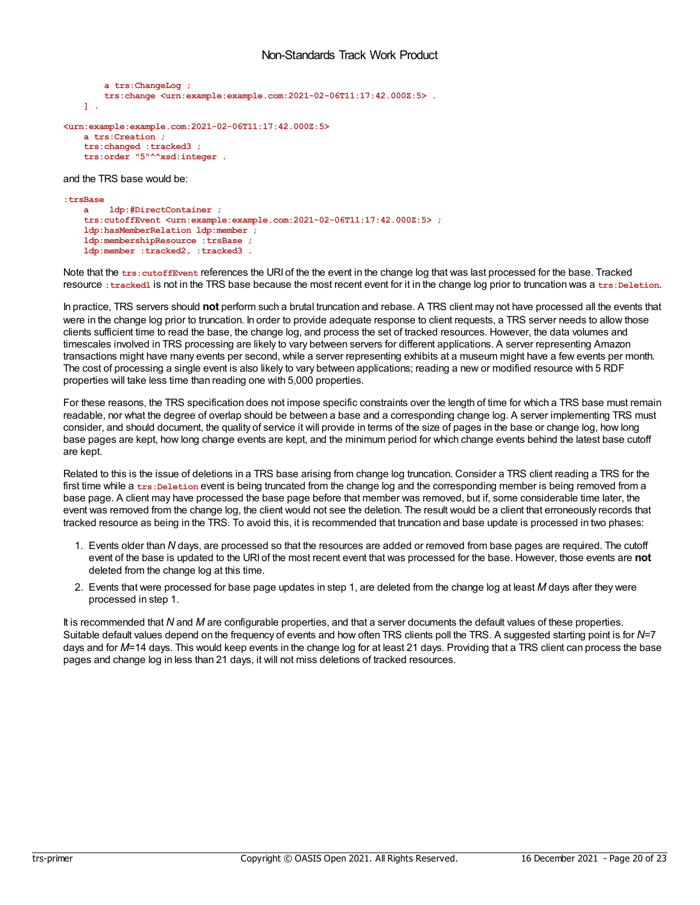```
a trs:ChangeLog ;
        trs:change <urn:example:example.com:2021-02-06T11:17:42.000Z:5> .
   ] .
<urn:example:example.com:2021-02-06T11:17:42.000Z:5>
   a trs:Creation ;
    trs:changed :tracked3 ;
    trs:order "5"^^xsd:integer .
```
and the TRS base would be:

```
:trsBase
   a ldp:#DirectContainer ;
   trs:cutoffEvent <urn:example:example.com:2021-02-06T11:17:42.000Z:5> ;
   ldp:hasMemberRelation ldp:member ;
   ldp:membershipResource :trsBase ;
   ldp:member :tracked2, :tracked3 .
```
Note that the **trs:cutoffEvent** references the URI of the the event in the change log that was last processed for the base. Tracked resource : tracked1 is not in the TRS base because the most recent event for it in the change log prior to truncation was a trs: Deletion.

In practice, TRS servers should **not** perform such a brutal truncation and rebase. A TRS client may not have processed all the events that were in the change log prior to truncation. In order to provide adequate response to client requests, a TRS server needs to allow those clients sufficient time to read the base, the change log, and process the set of tracked resources. However, the data volumes and timescales involved in TRS processing are likely to vary between servers for different applications. A server representing Amazon transactions might have many events per second, while a server representing exhibits at a museum might have a few events per month. The cost of processing a single event is also likely to vary between applications; reading a new or modified resource with 5 RDF properties will take less time than reading one with 5,000 properties.

For these reasons, the TRS specification does not impose specific constraints over the length of time for which a TRS base must remain readable, nor what the degree of overlap should be between a base and a corresponding change log. A server implementing TRS must consider, and should document, the quality of service it will provide in terms of the size of pages in the base or change log, how long base pages are kept, how long change events are kept, and the minimum period for which change events behind the latest base cutoff are kept.

Related to this is the issue of deletions in a TRS base arising from change log truncation. Consider a TRS client reading a TRS for the first time while a trs: Deletion event is being truncated from the change log and the corresponding member is being removed from a base page. A client may have processed the base page before that member was removed, but if, some considerable time later, the event was removed from the change log, the client would not see the deletion. The result would be a client that erroneously records that tracked resource as being in the TRS. To avoid this, it is recommended that truncation and base update is processed in two phases:

- 1. Events older than *N* days, are processed so that the resources are added or removed from base pages are required. The cutoff event of the base is updated to the URI of the most recent event that was processed for the base. However, those events are **not** deleted from the change log at this time.
- 2. Events that were processed for base page updates in step 1, are deleted from the change log at least *M* days after they were processed in step 1.

It is recommended that *N* and *M* are configurable properties, and that a server documents the default values of these properties. Suitable default values depend on the frequency of events and how often TRS clients poll the TRS. A suggested starting point is for *N*=7 days and for M=14 days. This would keep events in the change log for at least 21 days. Providing that a TRS client can process the base pages and change log in less than 21 days, it will not miss deletions of tracked resources.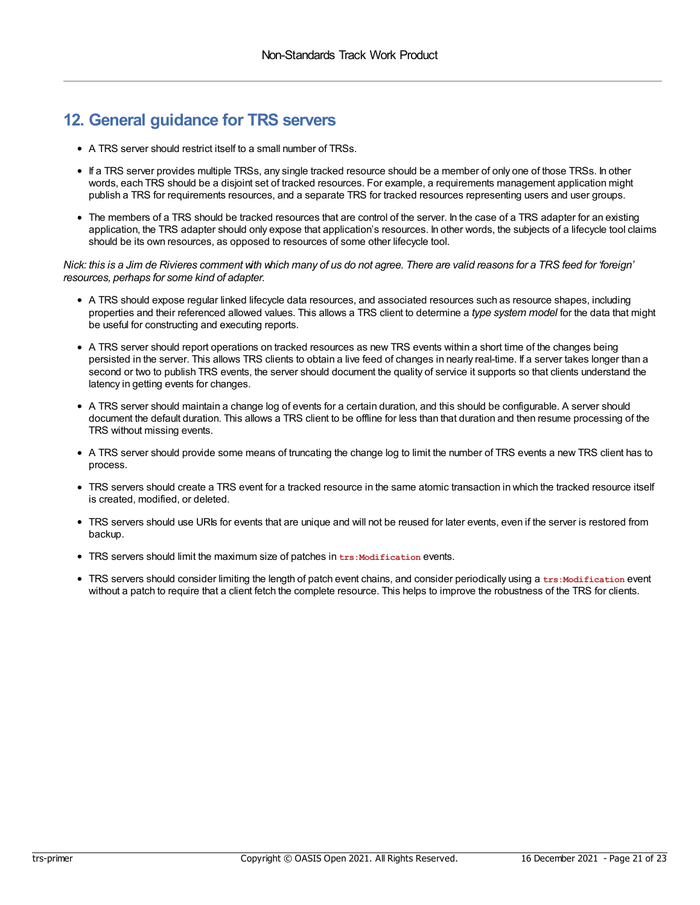### <span id="page-20-0"></span>**12. General guidance for TRS servers**

- A TRS server should restrict itself to a small number of TRSs.
- If a TRS server provides multiple TRSs, any single tracked resource should be a member of only one of those TRSs. In other words, each TRS should be a disjoint set of tracked resources. For example, a requirements management application might publish a TRS for requirements resources, and a separate TRS for tracked resources representing users and user groups.
- The members of a TRS should be tracked resources that are control of the server. In the case of a TRS adapter for an existing application, the TRS adapter should only expose that application's resources. In other words, the subjects of a lifecycle tool claims should be its own resources, as opposed to resources of some other lifecycle tool.

Nick: this is a Jim de Rivieres comment with which many of us do not agree. There are valid reasons for a TRS feed for 'foreign' *resources, perhaps for some kind of adapter.*

- A TRS should expose regular linked lifecycle data resources, and associated resources such as resource shapes, including properties and their referenced allowed values. This allows a TRS client to determine a *type system model* for the data that might be useful for constructing and executing reports.
- A TRS server should report operations on tracked resources as new TRS events within a short time of the changes being persisted in the server. This allows TRS clients to obtain a live feed of changes in nearly real-time. If a server takes longer than a second or two to publish TRS events, the server should document the quality of service it supports so that clients understand the latency in getting events for changes.
- A TRS server should maintain a change log of events for a certain duration, and this should be configurable. A server should document the default duration. This allows a TRS client to be offline for less than that duration and then resume processing of the TRS without missing events.
- A TRS server should provide some means of truncating the change log to limit the number of TRS events a new TRS client has to process.
- TRS servers should create a TRS event for a tracked resource in the same atomic transaction in which the tracked resource itself is created, modified, or deleted.
- TRS servers should use URIs for events that are unique and will not be reused for later events, even if the server is restored from backup.
- TRS servers should limit the maximum size of patches in **trs:Modification** events.
- TRS servers should consider limiting the length of patch event chains, and consider periodically using a **trs:Modification** event without a patch to require that a client fetch the complete resource. This helps to improve the robustness of the TRS for clients.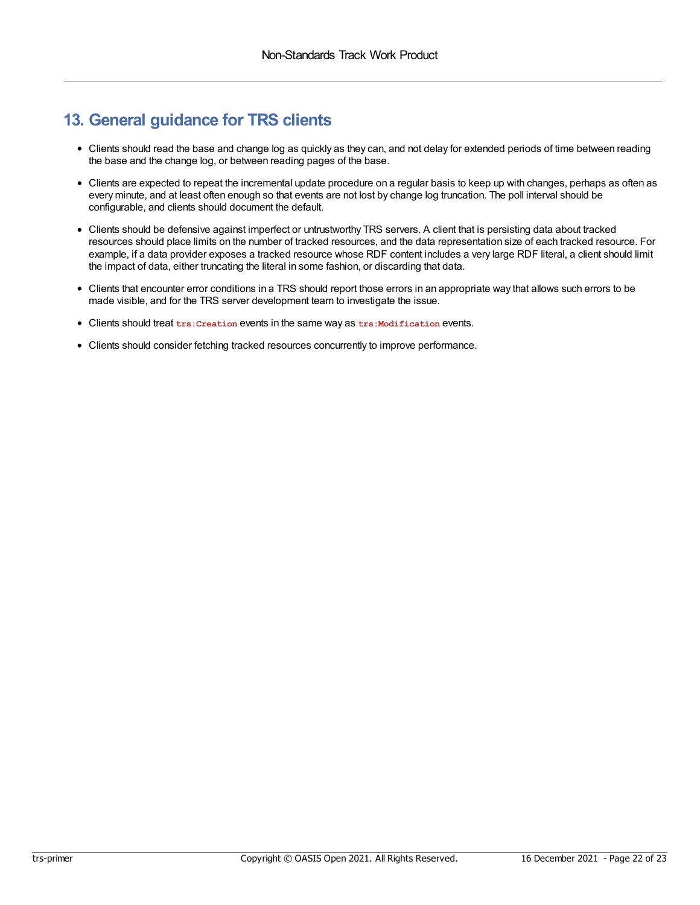### <span id="page-21-0"></span>**13. General guidance for TRS clients**

- Clients should read the base and change log as quickly as they can, and not delay for extended periods of time between reading the base and the change log, or between reading pages of the base.
- Clients are expected to repeat the incremental update procedure on a regular basis to keep up with changes, perhaps as often as every minute, and at least often enough so that events are not lost by change log truncation. The poll interval should be configurable, and clients should document the default.
- Clients should be defensive against imperfect or untrustworthy TRS servers. A client that is persisting data about tracked resources should place limits on the number of tracked resources, and the data representation size of each tracked resource. For example, if a data provider exposes a tracked resource whose RDF content includes a very large RDF literal, a client should limit the impact of data, either truncating the literal in some fashion, or discarding that data.
- Clients that encounter error conditions in a TRS should report those errors in an appropriate way that allows such errors to be made visible, and for the TRS server development team to investigate the issue.
- Clients should treat **trs:Creation** events in the same way as **trs:Modification** events.
- Clients should consider fetching tracked resources concurrently to improve performance.